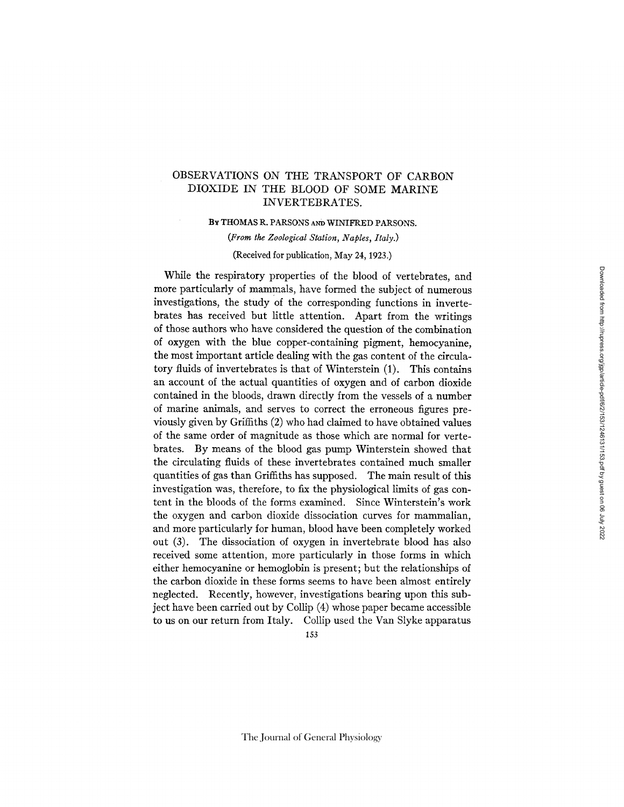# OBSERVATIONS ON THE TRANSPORT OF CARBON DIOXIDE IN THE BLOOD OF SOME MARINE INVERTEBRATES.

BY THOMAS R. PARSONS Am) WINIFRED PARSONS.

*(From the Zoological Station, Naples, Italy.)* 

(Received for publication, May 24, 1923.)

While the respiratory properties of the blood of vertebrates, and more particularly of mammals, have formed the subject of numerous investigations, the study of the corresponding functions in invertebrates has received but little attention. Apart from the writings of those authors who have considered the question of the combination of oxygen with the blue copper-containing pigment, hemocyanine, the most important article dealing with the gas content of the circulatory fluids of invertebrates is that of Winterstein (1). This contains an account of the actual quantities of oxygen and of carbon dioxide contained in the bloods, drawn directly from the vessels of a number of marine animals, and serves to correct the erroneous figures previously given by Griffiths (2) who had claimed to have obtained values of the same order of magnitude as those which are normal for vertebrates. By means of the blood gas pump Winterstein showed that the circulating fluids of these invertebrates contained much smaller quantities of gas than Griffiths has supposed. The main result of this investigation was, therefore, to fix the physiological limits of gas content in the bloods of the forms examined. Since Winterstein's work the oxygen and carbon dioxide dissociation curves for mammalian, and more particularly for human, blood have been completely worked out (3). The dissociation of oxygen in invertebrate blood has also received some attention, more particularly in those forms in which either hemocyanine or hemoglobin is present; but the relationships of the carbon dioxide in these forms seems to have been almost entirely neglected. Recently, however, investigations bearing upon this subject have been carried out by Collip (4) whose paper became accessible to us on our return from Italy. Collip used the Van Slyke apparatus 153

The Journal of General Physiology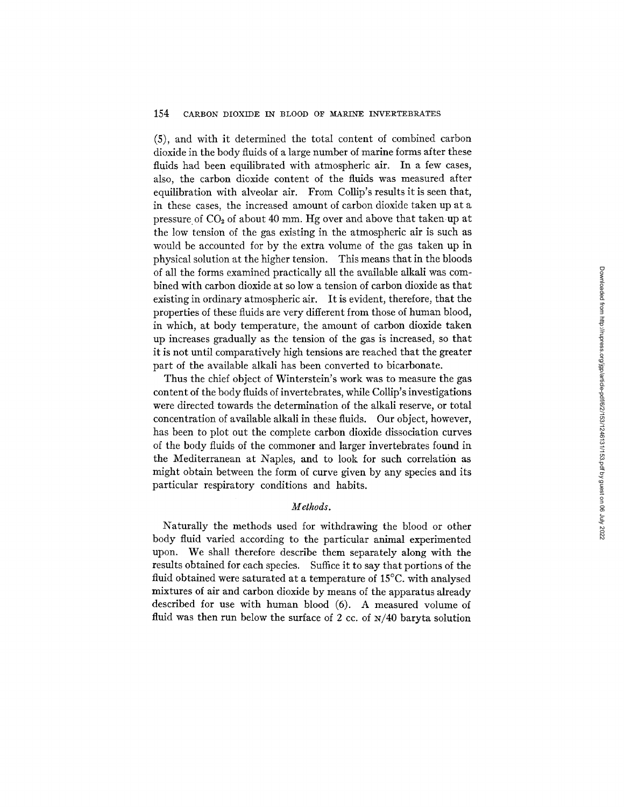(5), and with it determined the total content of combined carbon dioxide in the body fluids of a large number of marine forms after these fluids had been equilibrated with atmospheric air. In a few cases, also, the carbon dioxide content of the fluids was measured after equilibration with alveolar air. From Collip's results it is seen that, in these cases, the increased amount of carbon dioxide taken up at a pressure of CO2 of about 40 mm. Hg over and above that takenup at the low tension of the gas existing in the atmospheric air is such as would be accounted for by the extra volume of the gas taken up in physical solution at the higher tension. This means that in the bloods of all the forms examined practically all the available alkali was combined with carbon dioxide at so low a tension of carbon dioxide as that existing in ordinary atmospheric air. It is evident, therefore, that the properties of these fluids are very different from those of human blood, in which, at body temperature, the amount of carbon dioxide taken up increases gradually as the tension of the gas is increased, so that it is not until comparatively high tensions are reached that the greater part of the available alkali has been converted to bicarbonate.

Thus the chief object of Winterstein's work was to measure the gas content of the body fluids of invertebrates, while Collip's investigations were directed towards the determination of the alkali reserve, or total concentration of available alkali in these fluids. Our object, however, has been to plot out the complete carbon dioxide dissociation curves of the body fluids of the commoner and larger invertebrates found in the Mediterranean at Naples, and to look for such correlation as might obtain between the form of curve given by any species and its particular respiratory conditions and habits.

## *Methods.*

Naturally the methods used for withdrawing the blood or other body fluid varied according to the particular animal experimented upon. We shall therefore describe them separately along with the results obtained for each species. Suffice it to say that portions of the fluid obtained were saturated at a temperature of 15°C. with analysed mixtures of air and carbon dioxide by means of the apparatus already described for use with human blood (6). A measured volume of fluid was then run below the surface of 2 cc. of  $N/40$  baryta solution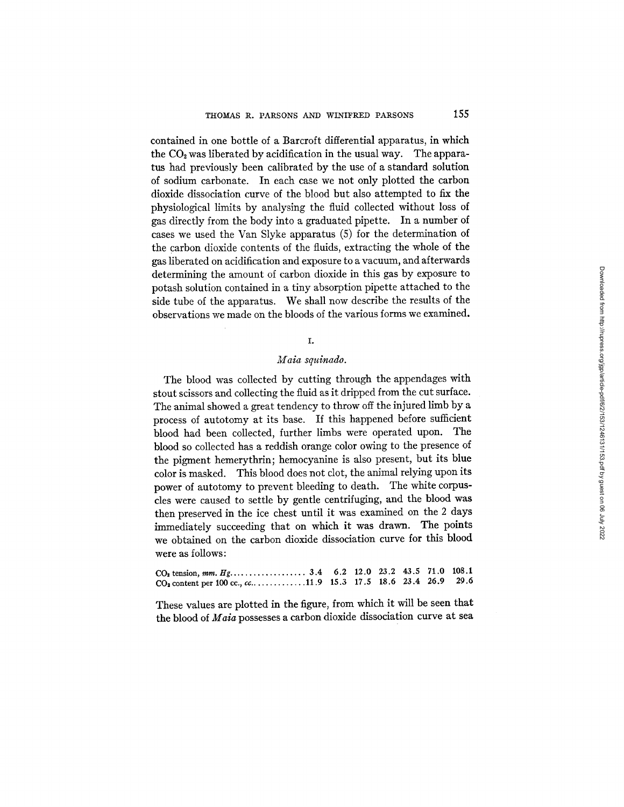contained in one bottle of a Barcroft differential apparatus, in which the  $CO<sub>2</sub>$  was liberated by acidification in the usual way. The apparatus had previously been calibrated by the use of a standard solution of sodium carbonate. In each case we not only plotted the carbon dioxide dissociation curve of the blood but also attempted to fix the physiological limits by analysing the fluid collected without loss of gas directly from the body into a graduated pipette. In a number of cases we used the Van Slyke apparatus (5) for the determination of the carbon dioxide contents of the fluids, extracting the whole of the gas liberated on acidification and exposure to a vacuum, and afterwards determining the amount of carbon dioxide in this gas by exposure to potash solution contained in a tiny absorption pipette attached to the side tube of the apparatus. We shall now describe the results of the observations we made on the bloods of the various forms we examined.

## *I.*

#### *Maia squinado.*

The blood was collected by cutting through the appendages with stout scissors and collecting the fluid as it dripped from the cut surface. The animal showed a great tendency to throw off the injured limb by a process of autotomy at its base. If this happened before sufficient blood had been collected, further limbs were operated upon. The blood so collected has a reddish orange color owing to the presence of the pigment hemerythrin; hemocyanine is also present, but its blue color is masked. This blood does not clot, the animal relying upon its power of autotomy to prevent bleeding to death. The white corpuscles were caused to settle by gentle centrifuging, and the blood was then preserved in the ice chest until it was examined on the 2 days immediately succeeding that on which it was drawn. The points we obtained on the carbon dioxide dissociation curve for this blood were as follows:

| $CO2$ content per 100 cc., cc11.9 15.3 17.5 18.6 23.4 26.9 29.6 |  |  |  |
|-----------------------------------------------------------------|--|--|--|

These values are plotted in the figure, from which it will be seen that the blood of *Maia* possesses a carbon dioxide dissociation curve at sea

**Salar**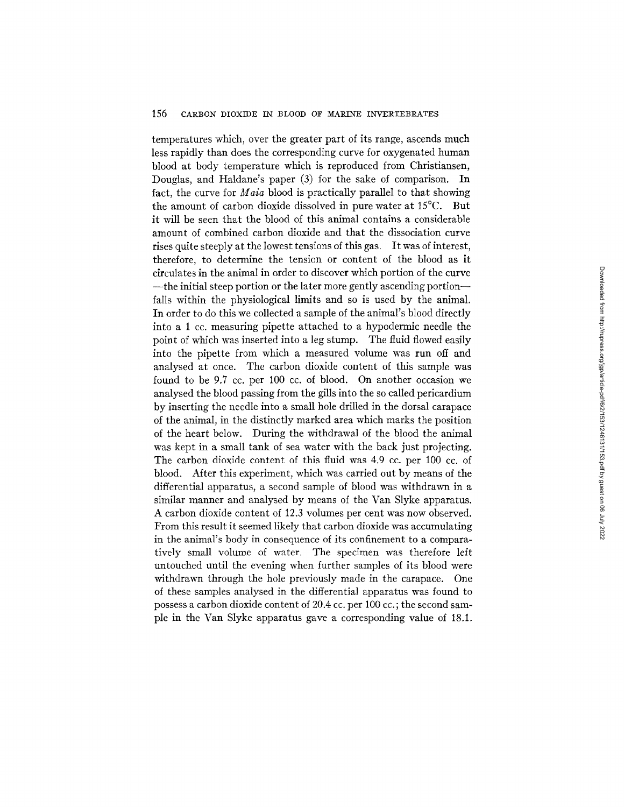temperatures which, over the greater part of its range, ascends much less rapidly than does the corresponding curve for oxygenated human blood at body temperature which is reproduced from Christiansen, Douglas, and Haldane's paper (3) for the sake of comparison. In fact, the curve for *Maia* blood is practically parallel to that showing the amount of carbon dioxide dissolved in pure water at 15°C. But it will be seen that the blood of this animal contains a considerable amount of combined carbon dioxide and that the dissociation curve rises quite steeply at the lowest tensions of this gas. It was of interest, therefore, to determine the tension or content of the blood as it circulates in the animal in order to discover which portion of the curve ---the initial steep portion or the later more gently ascending portion-falls within the physiological limits and so is used by the animal. In order to do this we collected a sample of the animal's blood directly into a 1 cc. measuring pipette attached to a hypodermic needle the point of which was inserted into a leg stump. The fluid flowed easily into the pipette from which a measured volume was run off and analysed at once. The carbon dioxide content of this sample was found to be 9.7 cc. per 100 cc. of blood. On another occasion we analysed the blood passing from the gills into the so called pericardium by inserting the needle into a small hole drilled in the dorsal carapace of the animal, in the distinctly marked area which marks the position of the heart below. During the withdrawal of the blood the animal was kept in a small tank of sea water with the back just projecting. The carbon dioxide content of this fluid was 4.9 cc. per 100 cc. of blood. After this experiment, which was carried out by means of the differential apparatus, a second sample of blood was withdrawn in a similar manner and analysed by means of the Van Slyke apparatus. A carbon dioxide content of 12.3 volumes per cent was now observed. From this result it seemed likely that carbon dioxide was accumulating in the animal's body in consequence of its confinement to a comparatively small volume of water. The specimen was therefore left untouched until the evening when further samples of its blood were withdrawn through the hole previously made in the carapace. One of these samples analysed in the differential apparatus was found to possess a carbon dioxide content of 20.4 cc. per 100 cc. ; the second sample in the Van Slyke apparatus gave a corresponding value of 18.1.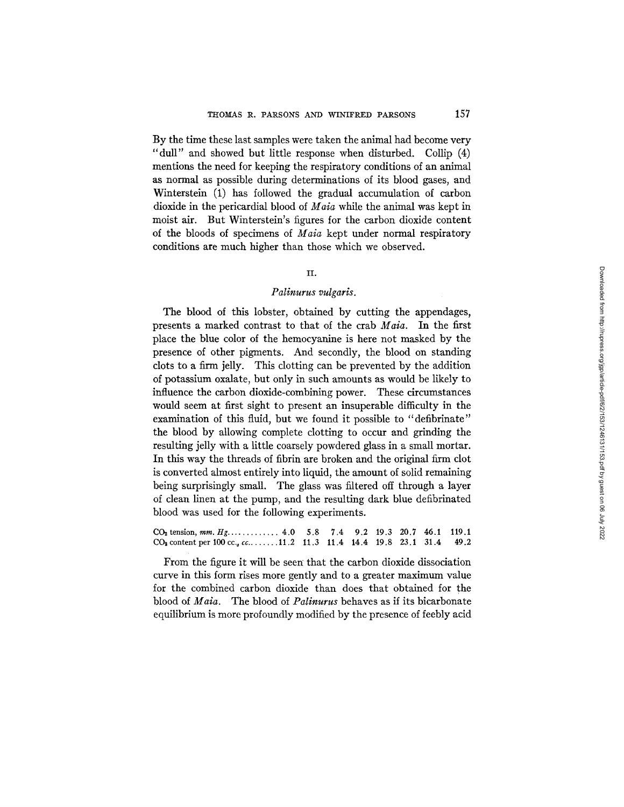By the time these last samples were taken the animal had become very "dull" and showed but little response when disturbed. Collip (4) mentions the need for keeping the respiratory conditions of an animal as normal as possible during determinations of its blood gases, and Winterstein (1) has followed the gradual accumulation of carbon dioxide in the pericardial blood of *Maia* while the animal was kept in moist air. But Winterstein's figures for the carbon dioxide content of the bloods of specimens of *Maia* kept under normal respiratory conditions are much higher than those which we observed.

## II.

## *Palinurus vulgaris.*

The blood of this lobster, obtained by cutting the appendages, presents a marked contrast to that of the crab *Maia.* In the first place the blue color of the hemocyanine is here not masked by the presence of other pigments. And secondly, the blood on standing clots to a firm jelly. This clotting can be prevented by the addition of potassium oxalate, but only in such amounts as would be likely to influence the carbon dioxide-combining power. These circumstances would seem at first sight to present an insuperable difficulty in the examination of this fluid, but we found it possible to "defibrinate" the blood by allowing complete clotting to occur and grinding the resulting jelly with a little coarsely powdered glass in a small mortar. In this way the threads of fibrin are broken and the original firm clot is converted almost entirely into liquid, the amount of solid remaining being surprisingly small. The glass was filtered off through a layer of clean linen at the pump, and the resulting dark blue defibrinated blood was used for the following experiments.

 $CO<sub>2</sub>$  tension, *mm. Hg.........*....  $4.0$  5.8 7.4 9.2 19.3 20.7 46.1 119.1  $CO<sub>2</sub>$  content per 100 cc., cc. . . . . . . 11.2 11.3 11.4 14.4 19.8 23.1 31.4 49.2

From the figure it will be seen that the carbon dioxide dissociation curve in this form rises more gently and to a greater maximum value for the combined carbon dioxide than does that obtained for the blood of *Maia.* The blood of *Palinurus* behaves as if its bicarbonate equilibrium is more profoundly modified by the presence of feebly acid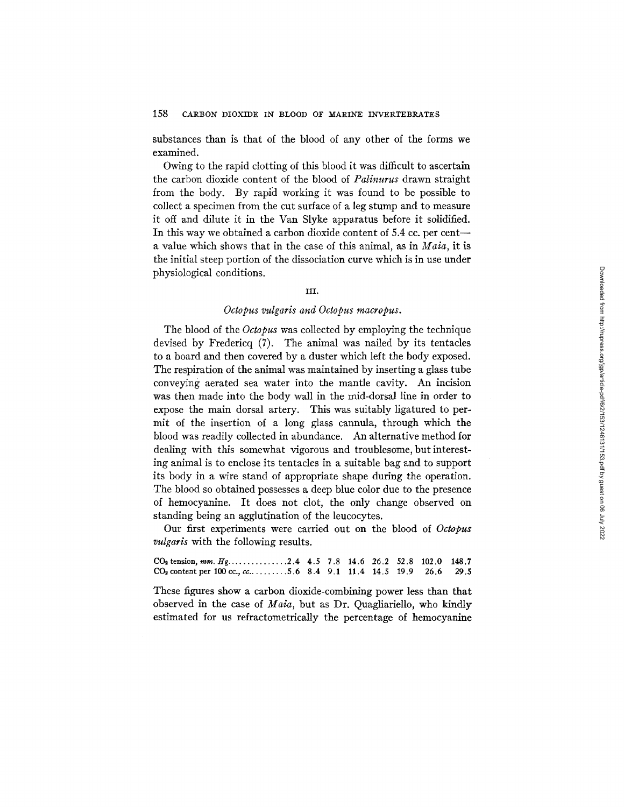substances than is that of the blood of any other of the forms we examined.

Owing to the rapid clotting of this blood it was difficult to ascertain the carbon dioxide content of the blood of *Palinurus* drawn straight from the body. By rapid working it was found to be possible to collect a specimen from the cut surface of a leg stump and to measure it off and dilute it in the Van Slyke apparatus before it solidified. In this way we obtained a carbon dioxide content of 5.4 cc. per cent-a value which shows that in the case of this animal, as in *Maia,* it is the initial steep portion of the dissociation curve which is in use under physiological conditions.

### iii.

## *Octopus vulgaris and Octopus macropus.*

The blood of the *Octopus* was collected by employing the technique devised by Fredericq (7). The animal was nailed by its tentacles to a board and then covered by a duster which left the body exposed. The respiration of the animal was maintained by inserting a glass tube conveying aerated sea water into the mantle cavity. An incision was then made into the body wall in the mid-dorsal line in order to expose the main dorsal artery. This was suitably ligatured to permit of the insertion of a long glass cannula, through which the blood was readily collected in abundance. An alternative method for dealing with this somewhat vigorous and troublesome, but interesting animal is to enclose its tentacles in a suitable bag and to support its body in a wire stand of appropriate shape during the operation. The blood so obtained possesses a deep blue color due to the presence of hemocyanine. It does not Clot, the only change observed on standing being an agglutination of the leucocytes.

Our first experiments were carried out on the blood of *Octopus vulgaris* with the following results.

 $CO<sub>2</sub>$  tension, mm.  $Hg$ ................2.4 4.5 7.8 14.6 26.2 52.8 102.0 148.7  $CO<sub>2</sub>$  content per 100 cc., cc. . . . . . . . . 5.6 8.4 9.1 11.4 14.5 19.9 26.6 29.5

These figures show a carbon dioxide-combining power less than that observed in the case of *Maia,* but as Dr. Quagliariello, who kindly estimated for us refractometrically the percentage of hemocyanine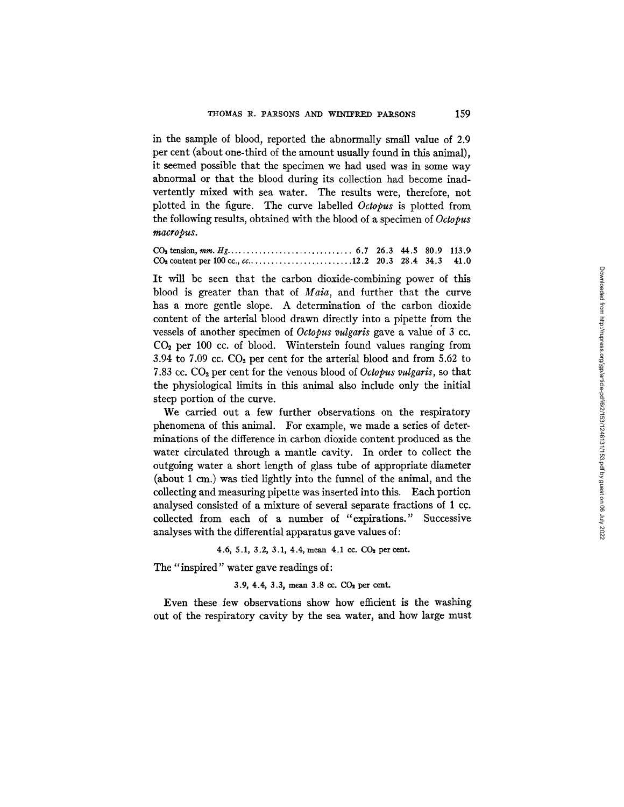in the sample of blood, reported the abnormally small value of 2.9 per cent (about one-third of the amount usually found in this animal), it seemed possible that the specimen we had used was in some way abnormal or that the blood during its collection had become inadvertently mixed with sea water. The results were, therefore, not plotted in the figure. The curve labelled *Octopus* is plotted from the following results, obtained with the blood of a specimen of *Octopus*   $\mathit{macrobus.}$ 

### Co= tension, mm. H g ............................... 6.7 26.3 44.5 80.9 113.9 Co=contentperl00cc.,cc .......................... 12.2 20.3 28.4 34.3 41.0

It will be seen that the carbon dioxide-combining power of this blood is greater than that of *Maia,* and further that the curve has a more gentle slope. A determination of the carbon dioxide content of the arterial blood drawn directly into a pipette from the vessels of another specimen of *Octopus vulgaris* gave a value of 3 cc.  $CO<sub>2</sub>$  per 100 cc. of blood. Winterstein found values ranging from 3.94 to 7.09 cc.  $CO<sub>2</sub>$  per cent for the arterial blood and from 5.62 to 7.83 cc. CO<sub>2</sub> per cent for the venous blood of *Octopus vulgaris*, so that the physiological limits in this animal also include only the initial steep portion of the curve.

We carried out a few further observations on the respiratory phenomena of this animal. For example, we made a series of determinations of the difference in carbon dioxide content produced as the water circulated through a mantle cavity. In order to collect the outgoing water a short length of glass tube of appropriate diameter (about 1 cm.) was tied lightly into the funnel of the animal, and the collecting and measuring pipette was inserted into this. Each portion analysed consisted of a mixture of several separate fractions of 1 cc. collected from each of a number of "expirations." Successive analyses with the differential apparatus gave values of:

### 4.6, 5.1, 3.2, 3.1, 4.4, mean 4.1 cc. CO<sub>2</sub> per cent.

The "inspired" water gave readings of:

#### 3.9, 4.4, 3.3, mean 3.8 cc.  $CO<sub>2</sub>$  per cent.

Even these few observations show how efficient is the washing out of the respiratory cavity by the sea water, and how large must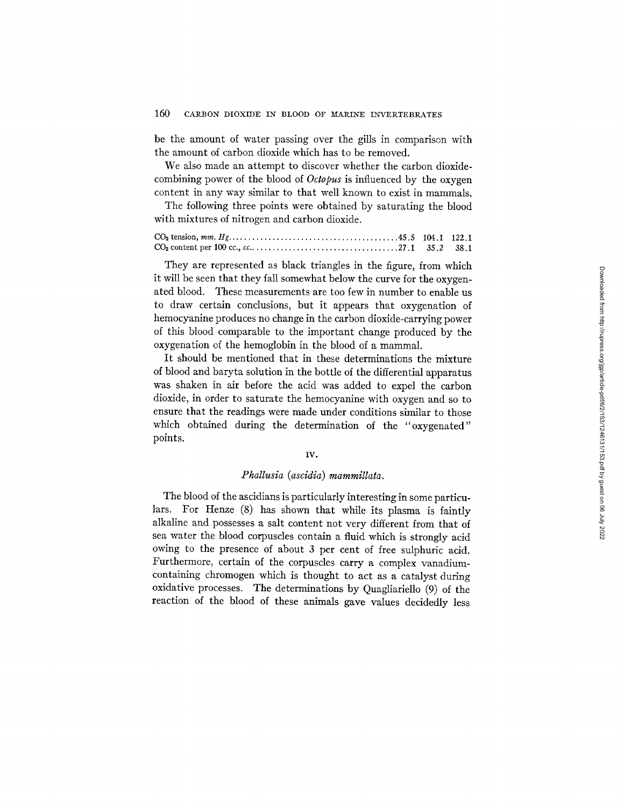be the amount of water passing over the gills in comparison with the amount of carbon dioxide which has to be removed.

We also made an attempt to discover whether the carbon dioxidecombining power of the blood of *Octopus* is influenced by the oxygen content in any way similar to that well known to exist in mammals.

The following three points were obtained by saturating the blood with mixtures of nitrogen and carbon dioxide.

CO2 tension, *ram. Itg ..........................................* 45.5 104.1 122.1 CO2 content per 100 cc., *cc* ..................................... 27.1 35.2 38.1

They are represented as black triangles in the figure, from which it will be seen that they fall somewhat below the curve for the oxygenated blood. These measurements are too few in number to enable us to draw certain conclusions, but it appears that oxygenation of hemocyanine produces no change in the carbon dioxide-carrying power of this blood comparable to the important change produced by the oxygenation of the hemoglobin in the blood of a mammal.

It should be mentioned that in these determinations the mixture of blood and baryta solution in the bottle of the differential apparatus was shaken in air before the acid was added to expel the carbon dioxide, in order to saturate the hemocyanine with oxygen and so to ensure that the readings were made under conditions similar to those which obtained during the determination of the "oxygenated" points.

#### IV.

### *Phallusia (ascidia) mamrnillata.*

The blood of the ascidians is particularly interesting in some particulars. For Henze (8) has shown that while its plasma is faintly alkaline and possesses a salt content not very different from that of sea water the blood corpuscles contain a fluid which is strongly acid owing to the presence of about 3 per cent of free sulphuric acid. Furthermore, certain of the corpuscles carry a complex vanadiumcontaining chromogen which is thought to act as a catalyst during oxidative processes. The determinations by Quagliariello (9) of the reaction of the blood of these animals gave values decidedly less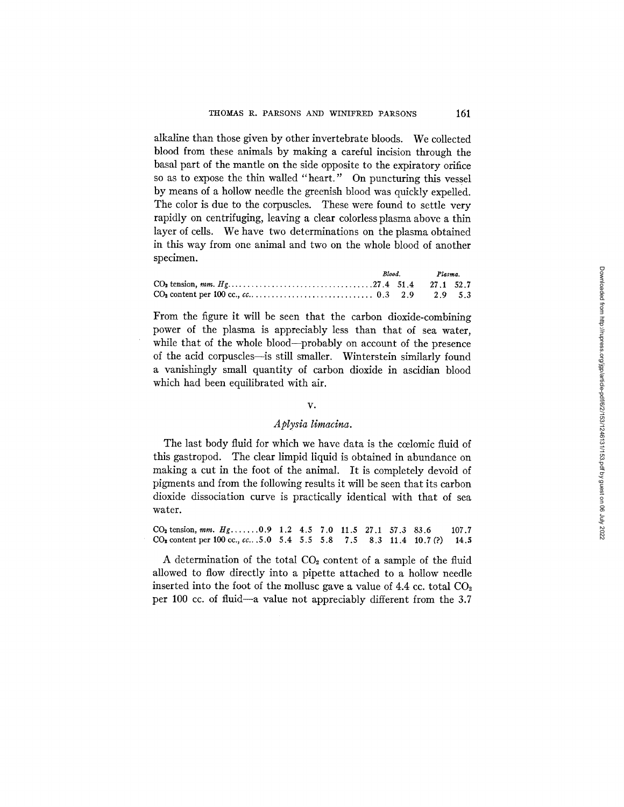alkaline than those given by other invertebrate bloods. We collected blood from these animals by making a careful incision through the basal part of the mantle on the side opposite to the expiratory orifice so as to expose the thin walled "heart." On puncturing this vessel by means of a hollow needle the greenish blood was quickly expelled. The color is due to the corpuscles. These were found to settle very rapidly on centrifuging, leaving a clear colorless plasma above a thin layer of cells. We have two determinations on the plasma obtained in this way from one animal and two on the whole blood of another specimen.

|  |  | Blood. Plasma. |  |
|--|--|----------------|--|
|  |  |                |  |
|  |  |                |  |

From the figure it will be seen that the carbon dioxide-combining power of the plasma is appreciably less than that of sea water, while that of the whole blood--probably on account of the presence of the acid corpuscles--is still smaller. Winterstein similarly found a vanishingly small quantity of carbon dioxide in ascidian blood which had been equilibrated with air.

### *V°*

### *A plysia limacina.*

The last body fluid for which we have data is the coelomic fluid of this gastropod. The clear limpid liquid is obtained in abundance on making a cut in the foot of the animal. It is completely devoid of pigments and from the following results it will be seen that its carbon dioxide dissociation curve is practically identical with that of sea water.

 $CO<sub>2</sub>$  tension, mm.  $Hg$ ...... 0.9 1.2 4.5 7.0 11.5 27.1 57.3 83.6 107.7  $CO<sub>2</sub>$  content per 100 cc., cc...5.0 5.4 5.5 5.8 7.5 8.3 11.4 10.7 (?) 14.5

A determination of the total  $CO<sub>2</sub>$  content of a sample of the fluid allowed to flow directly into a pipette attached to a hollow needle inserted into the foot of the mollusc gave a value of 4.4 cc. total  $CO<sub>2</sub>$ per 100 cc. of fluid--a value not appreciably different from the 3.7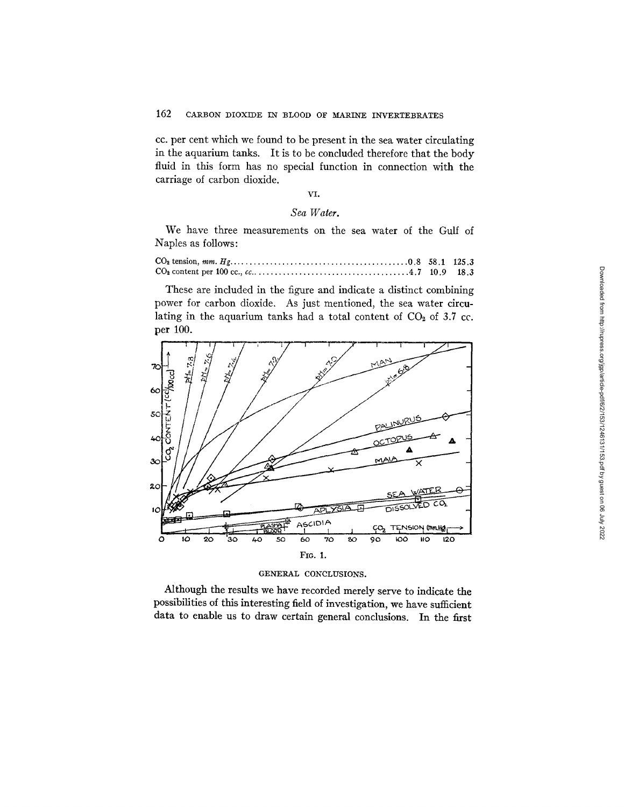cc. per cent which we found to be present in the sea water circulating in the aquarium tanks. It is to be concluded therefore that the body fluid in this form has no special function in connection with the carriage of carbon dioxide.

## VI.

## *Sea Water.*

We have three measurements on the sea water of the Gulf of Naples as follows:

These are included in the figure and indicate a distinct combining power for carbon dioxide. As just mentioned, the sea water circulating in the aquarium tanks had a total content of  $CO<sub>2</sub>$  of 3.7 cc. per 100.



#### GENERAL CONCLUSIONS.

Although the results we have recorded merely serve to indicate the possibilities of this interesting field of investigation, we have sufficient data to enable us to draw certain general conclusions. In the first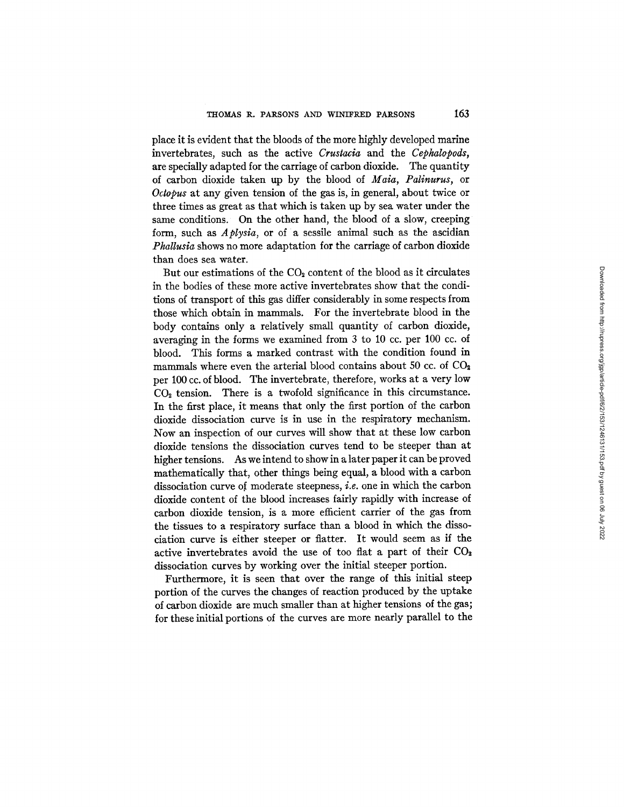place it is evident that the bloods of the more highly developed marine invertebrates, such as the active *Crustacia* and the *Cephalopods,*  are specially adapted for the carriage of carbon dioxide. The quantity of carbon dioxide taken up by the blood of *Maia, Palinurus,* or *Octopus* at any given tension of the gas is, in general, about twice or three times as great as that which is taken up by sea water under the same conditions. On the other hand, the blood of a slow, creeping form, such as *Aplysia,* or of a sessile animal such as the ascidian *Phallusia* shows no more adaptation for the carriage of carbon dioxide than does sea water.

But our estimations of the  $CO<sub>2</sub>$  content of the blood as it circulates in the bodies of these more active invertebrates show that the conditions of transport of this gas differ considerably in some respects from those which obtain in mammals. For the invertebrate blood in the body contains only a relatively small quantity of carbon dioxide, averaging in the forms we examined from 3 to 10 cc. per 100 cc. of blood. This forms a marked contrast with the condition found in mammals where even the arterial blood contains about 50 cc. of  $CO<sub>2</sub>$ per 100 cc. of blood. The invertebrate, therefore, works at a very low CO, tension. There is a twofold significance in this circumstance. In the first place, it means that only the first portion of the carbon dioxide dissociation curve is in use in the respiratory mechanism. Now an inspection of our curves will show that at these low carbon dioxide tensions the dissociation curves tend to be steeper than at higher tensions. As we intend to show in a later paper it can be proved mathematically that, other things being equal, a blood with a carbon dissociation curve of moderate steepness, *i.e.* one in which the carbon dioxide content of the blood increases fairly rapidly with increase of carbon dioxide tension, is a more efficient carrier of the gas from the tissues to a respiratory surface than a blood in which the dissociation curve is either steeper or flatter. It would seem as if the active invertebrates avoid the use of too flat a part of their CO<sub>2</sub> dissociation curves by working over the initial steeper portion.

Furthermore, it is seen that over the range of this initial steep portion of the curves the changes of reaction produced by the uptake of carbon dioxide are much smaller than at higher tensions of the gas; for these initial portions of the curves are more nearly parallel to the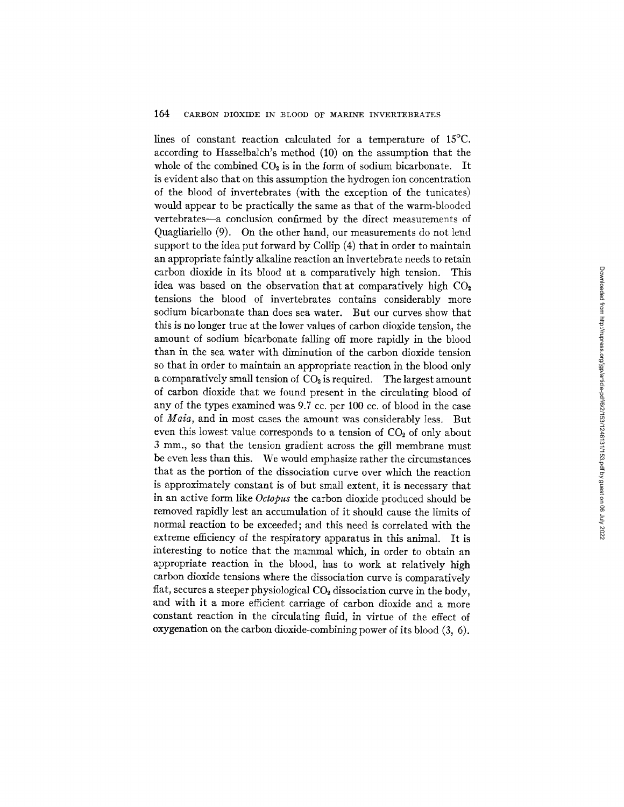lines of constant reaction calculated for a temperature of 15°C. according to Hasselbalch's method (10) on the assumption that the whole of the combined  $CO<sub>2</sub>$  is in the form of sodium bicarbonate. It is evident also that on this assumption the hydrogen ion concentration of the blood of invertebrates (with the exception of the tunicates) would appear to be practically the same as that of the warm-blooded vertebrates--a conclusion confirmed by the direct measurements of Quagliariello (9). On the other hand, our measurements do not lend support to the idea put forward by Collip (4) that in order to maintain an appropriate faintly alkaline reaction an invertebrate needs to retain carbon dioxide in its blood at a comparatively high tension. This idea was based on the observation that at comparatively high  $CO<sub>2</sub>$ tensions the blood of invertebrates contains considerably more sodium bicarbonate than does sea water. But our curves show that this is no longer true at the lower values of carbon dioxide tension, the amount of sodium bicarbonate falling off more rapidly in the blood than in the sea water with diminution of the carbon dioxide tension so that in order to maintain an appropriate reaction in the blood only a comparatively small tension of  $CO<sub>2</sub>$  is required. The largest amount of carbon dioxide that we found present in the circulating blood of any of the types examined was 9.7 cc. per 100 cc. of blood in the case of *Maia,* and in most cases the amount was considerably less. But even this lowest value corresponds to a tension of  $CO<sub>2</sub>$  of only about 3 mm., so that the tension gradient across the gill membrane must be even less than this. We would emphasize rather the circumstances that as the portion of the dissociation curve over which the reaction is approximately constant is of but small extent, it is necessary that in an active form like *Octopus* the carbon dioxide produced should be removed rapidly lest an accumulation of it should cause the limits of normal reaction to be exceeded; and this need is correlated with the extreme efficiency of the respiratory apparatus in this animal. It is interesting to notice that the mammal which, in order to obtain an appropriate reaction in the blood, has to work at relatively high carbon dioxide tensions where the dissociation curve is comparatively flat, secures a steeper physiological  $CO<sub>2</sub>$  dissociation curve in the body. and with it a more efficient carriage of carbon dioxide and a more constant reaction in the circulating fluid, in virtue of the effect of oxygenation on the carbon dioxide-combining power of its blood (3, 6).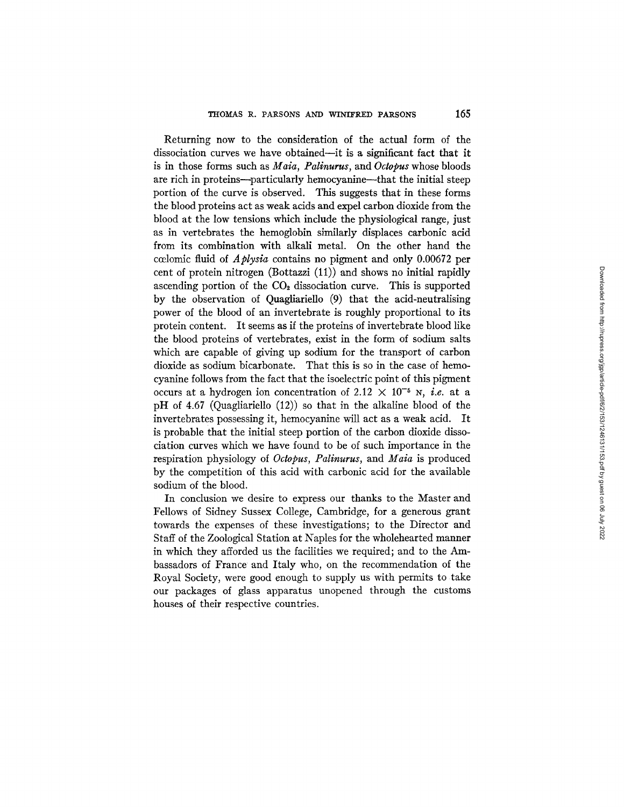Returning now to the consideration of the actual form of the dissociation curves we have obtained--it is a significant fact that it is in those forms such as *Maia, Palinurus,* and *Octopus* whose bloods are rich in proteins--particularly hemocyanine--that the initial steep portion of the curve is observed. This suggests that in these forms the blood proteins act as weak acids and expel carbon dioxide from the blood at the low tensions which include the physiological range, just as in vertebrates the hemoglobin similarly displaces carbonic acid from its combination with alkali metal. On the other hand the ccelomic fluid of *Aplysia* contains no pigment and only 0.00672 per cent of protein nitrogen (Bottazzi (11)) and shows no initial rapidly ascending portion of the  $CO<sub>2</sub>$  dissociation curve. This is supported by the observation of Quagliariello (9) that the acid-neutralising power of the blood of an invertebrate is roughly proportional to its protein content. It seems as if the proteins of invertebrate blood like the blood proteins of vertebrates, exist in the form of sodium salts which are capable of giving up sodium for the transport of carbon dioxide as sodium bicarbonate. That this is so in the case of hemocyanine follows from the fact that the isoelectric point of this pigment occurs at a hydrogen ion concentration of 2.12  $\times$  10<sup>-5</sup> N, *i.e.* at a pH of 4.67 (Quagliariello (12)) so that in the alkaline blood of the invertebrates possessing it, hemocyanine will act as a weak acid. It is probable that the initial steep portion of the carbon dioxide dissociation curves which we have found to be of such importance in the respiration physiology of *Octopus, Palinurus,* and *Maia* is produced by the competition of this acid with carbonic acid for the available sodium of the blood.

In conclusion we desire to express our thanks to the Master and Fellows of Sidney Sussex College, Cambridge, for a generous grant towards the expenses of these investigations; to the Director and Staff of the Zoological Station at Naples for the wholehearted manner in which they afforded us the facilities we required; and to the Ambassadors of France and Italy who, on the recommendation of the Royal Society, were good enough to supply us with permits to take our packages of glass apparatus unopened through the customs houses of their respective countries.